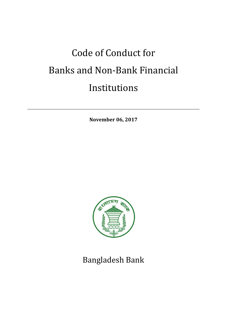# Code of Conduct for Banks and Non-Bank Financial Institutions

**November 06, 2017**



Bangladesh Bank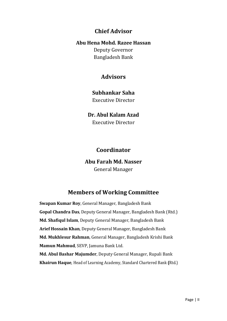# **Chief Advisor**

#### **Abu Hena Mohd. Razee Hassan**

Deputy Governor Bangladesh Bank

# **Advisors**

## **Subhankar Saha**

Executive Director

## **Dr. Abul Kalam Azad**

Executive Director

# **Coordinator**

**Abu Farah Md. Nasser** General Manager

# **Members of Working Committee**

**Swapan Kumar Roy**, General Manager, Bangladesh Bank **Gopal Chandra Das**, Deputy General Manager, Bangladesh Bank (Rtd.) **Md. Shafiqul Islam**, Deputy General Manager, Bangladesh Bank **Arief Hossain Khan**, Deputy General Manager, Bangladesh Bank **Md. Mukhlesur Rahman**, General Manager, Bangladesh Krishi Bank **Mamun Mahmud**, SEVP, Jamuna Bank Ltd. **Md. Abul Bashar Majumder**, Deputy General Manager, Rupali Bank **Khairun Haque**, Head of Learning Academy, Standard Chartered Bank **(**Rtd.)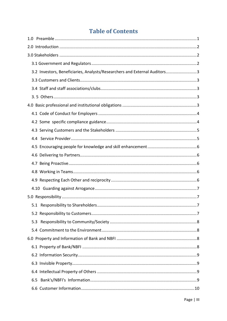# **Table of Contents**

| 3.2 Investors, Beneficiaries, Analysts/Researchers and External Auditors3 |  |
|---------------------------------------------------------------------------|--|
|                                                                           |  |
|                                                                           |  |
|                                                                           |  |
|                                                                           |  |
|                                                                           |  |
|                                                                           |  |
|                                                                           |  |
|                                                                           |  |
|                                                                           |  |
|                                                                           |  |
|                                                                           |  |
|                                                                           |  |
|                                                                           |  |
|                                                                           |  |
|                                                                           |  |
|                                                                           |  |
|                                                                           |  |
| 5.3                                                                       |  |
|                                                                           |  |
|                                                                           |  |
|                                                                           |  |
|                                                                           |  |
|                                                                           |  |
|                                                                           |  |
|                                                                           |  |
|                                                                           |  |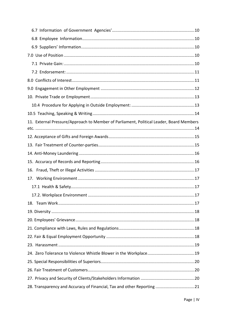| 11. External Pressure/Approach to Member of Parliament, Political Leader, Board Members |  |
|-----------------------------------------------------------------------------------------|--|
|                                                                                         |  |
|                                                                                         |  |
|                                                                                         |  |
|                                                                                         |  |
|                                                                                         |  |
| 16.                                                                                     |  |
|                                                                                         |  |
|                                                                                         |  |
|                                                                                         |  |
|                                                                                         |  |
|                                                                                         |  |
|                                                                                         |  |
|                                                                                         |  |
|                                                                                         |  |
|                                                                                         |  |
|                                                                                         |  |
|                                                                                         |  |
|                                                                                         |  |
|                                                                                         |  |
| 28. Transparency and Accuracy of Financial, Tax and other Reporting 21                  |  |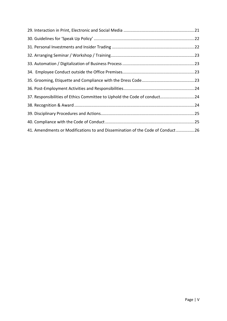| 37. Responsibilities of Ethics Committee to Uphold the Code of conduct24      |  |
|-------------------------------------------------------------------------------|--|
|                                                                               |  |
|                                                                               |  |
|                                                                               |  |
| 41. Amendments or Modifications to and Dissemination of the Code of Conduct26 |  |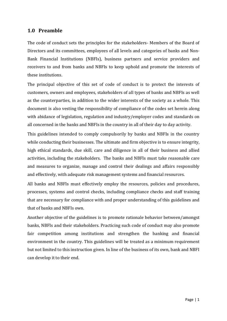#### <span id="page-5-0"></span>**1.0 Preamble**

The code of conduct sets the principles for the stakeholders- Members of the Board of Directors and its committees, employees of all levels and categories of banks and Non-Bank Financial Institutions (NBFIs), business partners and service providers and receivers to and from banks and NBFIs to keep uphold and promote the interests of these institutions.

The principal objective of this set of code of conduct is to protect the interests of customers, owners and employees, stakeholders of all types of banks and NBFIs as well as the counterparties, in addition to the wider interests of the society as a whole. This document is also vesting the responsibility of compliance of the codes set herein along with abidance of legislation, regulation and industry/employer codes and standards on all concerned in the banks and NBFIs in the country in all of their day to day activity.

This guidelines intended to comply compulsorily by banks and NBFIs in the country while conducting their businesses. The ultimate and firm objective is to ensure integrity, high ethical standards, due skill, care and diligence in all of their business and allied activities, including the stakeholders. The banks and NBFIs must take reasonable care and measures to organize, manage and control their dealings and affairs responsibly and effectively, with adequate risk management systems and financial resources.

All banks and NBFIs must effectively employ the resources, policies and procedures, processes, systems and control checks, including compliance checks and staff training that are necessary for compliance with and proper understanding of this guidelines and that of banks and NBFIs own.

Another objective of the guidelines is to promote rationale behavior between/amongst banks, NBFIs and their stakeholders. Practicing such code of conduct may also promote fair competition among institutions and strengthen the banking and financial environment in the country. This guidelines will be treated as a minimum requirement but not limited to this instruction given. In line of the business of its own, bank and NBFI can develop it to their end.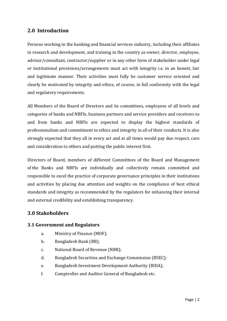## <span id="page-6-0"></span>**2.0 Introduction**

Persons working in the banking and financial services industry, including their affiliates in research and development, and training in the country as owner, director, employee, advisor/consultant, contractor/supplier or in any other form of stakeholder under legal or institutional provisions/arrangements must act with integrity i.e. in an honest, fair and legitimate manner. Their activities must fully be customer service oriented and clearly be motivated by integrity and ethics, of course, in full conformity with the legal and regulatory requirements.

All Members of the Board of Directors and its committees, employees of all levels and categories of banks and NBFIs, business partners and service providers and receivers to and from banks and NBFIs are expected to display the highest standards of professionalism and commitment to ethics and integrity in all of their conducts. It is also strongly expected that they all in every act and at all times would pay due respect, care and consideration to others and putting the public interest first.

Directors of Board, members of different Committees of the Board and Management of the Banks and NBFIs are individually and collectively remain committed and responsible to excel the practice of corporate governance principles in their institutions and activities by placing due attention and weights on the compliance of best ethical standards and integrity as recommended by the regulators for enhancing their internal and external credibility and establishing transparency.

#### <span id="page-6-1"></span>**3.0 Stakeholders**

#### <span id="page-6-2"></span>**3.1 Government and Regulators**

- a. Ministry of Finance (MOF);
- b. Bangladesh Bank (BB);
- c. National Board of Revenue (NBR);
- d. Bangladesh Securities and Exchange Commission (BSEC);
- e. Bangladesh Investment Development Authority (BIDA);
- f. Comptroller and Auditor General of Bangladesh etc.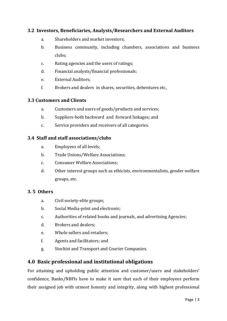#### <span id="page-7-0"></span>**3.2 Investors, Beneficiaries, Analysts/Researchers and External Auditors**

- a. Shareholders and market investors;
- b. Business community, including chambers, associations and business clubs;
- c. Rating agencies and the users of ratings;
- d. Financial analysts/financial professionals;
- e. External Auditors;
- f. Brokers and dealers in shares, securities, debentures etc,

#### <span id="page-7-1"></span>**3.3 Customers and Clients**

- a. Customers and users of goods/products and services;
- b. Suppliers-both backward and forward linkages; and
- c. Service providers and receivers of all categories.

#### <span id="page-7-2"></span>**3.4 Staff and staff associations/clubs**

- a. Employees of all levels;
- b. Trade Unions/Welfare Associations;
- c. Consumer Welfare Associations;
- d. Other interest groups such as ethicists, environmentalists, gender welfare groups, etc.

#### <span id="page-7-3"></span>**3. 5 Others**

- a. Civil society-elite groups;
- b. Social Media-print and electronic;
- c. Authorities of related books and journals, and advertising Agencies;
- d. Brokers and dealers;
- e. Whole sellers and retailers;
- f. Agents and facilitators; and
- g. Stockist and Transport and Courier Companies.

#### <span id="page-7-4"></span>**4.0 Basic professional and institutional obligations**

For attaining and upholding public attention and customer/users and stakeholders' confidence, Banks/NBFIs have to make it sure that each of their employees perform their assigned job with utmost honesty and integrity, along with highest professional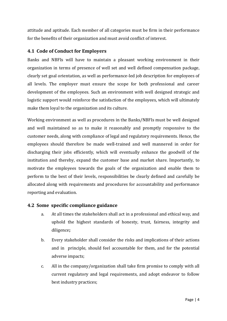attitude and aptitude. Each member of all categories must be firm in their performance for the benefits of their organization and must avoid conflict of interest.

#### <span id="page-8-0"></span>**4.1 Code of Conduct for Employers**

Banks and NBFIs will have to maintain a pleasant working environment in their organization in terms of presence of well set and well defined compensation package, clearly set goal orientation, as well as performance-led job description for employees of all levels. The employer must ensure the scope for both professional and career development of the employees. Such an environment with well designed strategic and logistic support would reinforce the satisfaction of the employees, which will ultimately make them loyal to the organization and its culture.

Working environment as well as procedures in the Banks/NBFIs must be well designed and well maintained so as to make it reasonably and promptly responsive to the customer needs, along with compliance of legal and regulatory requirements. Hence, the employees should therefore be made well-trained and well mannered in order for discharging their jobs efficiently, which will eventually enhance the goodwill of the institution and thereby, expand the customer base and market share. Importantly, to motivate the employees towards the goals of the organization and enable them to perform to the best of their levels, responsibilities be clearly defined and carefully be allocated along with requirements and procedures for accountability and performance reporting and evaluation.

#### <span id="page-8-1"></span>**4.2 Some specific compliance guidance**

- a. At all times the stakeholders shall act in a professional and ethical way, and uphold the highest standards of honesty, trust, fairness, integrity and diligence**;**
- b. Every stakeholder shall consider the risks and implications of their actions and in principle, should feel accountable for them, and for the potential adverse impacts;
- c. All in the company/organization shall take firm promise to comply with all current regulatory and legal requirements, and adopt endeavor to follow best industry practices;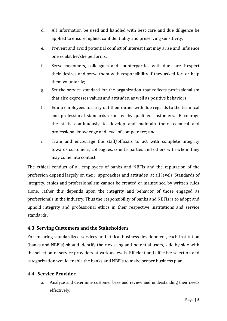- d. All information be used and handled with best care and due diligence be applied to ensure highest confidentiality and preserving sensitivity;
- e. Prevent and avoid potential conflict of interest that may arise and influence one whilst he/she performs;
- f. Serve customers, colleagues and counterparties with due care. Respect their desires and serve them with responsibility if they asked for, or help them voluntarily;
- g. Set the service standard for the organization that reflects professionalism that also expresses values and attitudes, as well as positive behaviors;
- h. Equip employees to carry out their duties with due regards to the technical and professional standards expected by qualified customers. Encourage the staffs continuously to develop and maintain their technical and professional knowledge and level of competence; and
- i. Train and encourage the staff/officials to act with complete integrity towards customers, colleagues, counterparties and others with whom they may come into contact.

The ethical conduct of all employees of banks and NBFIs and the reputation of the profession depend largely on their approaches and attitudes at all levels. Standards of integrity, ethics and professionalism cannot be created or maintained by written rules alone, rather this depends upon the integrity and behavior of those engaged as professionals in the industry. Thus the responsibility of banks and NBFIs is to adopt and uphold integrity and professional ethics in their respective institutions and service standards.

#### <span id="page-9-0"></span>**4.3 Serving Customers and the Stakeholders**

For ensuring standardized services and ethical business development, each institution (banks and NBFIs) should identify their existing and potential users, side by side with the selection of service providers at various levels. Efficient and effective selection and categorization would enable the banks and NBFIs to make proper business plan.

#### <span id="page-9-1"></span>**4.4 Service Provider**

a. Analyze and determine customer base and review and understanding their needs effectively;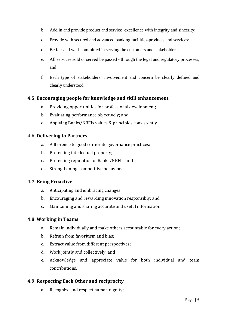- b. Add in and provide product and service excellence with integrity and sincerity;
- c. Provide with secured and advanced banking facilities-products and services;
- d. Be fair and well-committed in serving the customers and stakeholders;
- e. All services sold or served be passed through the legal and regulatory processes; and
- f. Each type of stakeholders' involvement and concern be clearly defined and clearly understood.

#### <span id="page-10-0"></span>**4.5 Encouraging people for knowledge and skill enhancement**

- a. Providing opportunities for professional development;
- b. Evaluating performance objectively; and
- c. Applying Banks/NBFIs values & principles consistently.

#### <span id="page-10-1"></span>**4.6 Delivering to Partners**

- a. Adherence to good corporate governance practices;
- b. Protecting intellectual property;
- c. Protecting reputation of Banks/NBFIs; and
- d. Strengthening competitive behavior.

#### <span id="page-10-2"></span>**4.7 Being Proactive**

- a. Anticipating and embracing changes;
- b. Encouraging and rewarding innovation responsibly; and
- c. Maintaining and sharing accurate and useful information.

#### <span id="page-10-3"></span>**4.8 Working in Teams**

- a. Remain individually and make others accountable for every action;
- b. Refrain from favoritism and bias;
- c. Extract value from different perspectives;
- d. Work jointly and collectively; and
- e. Acknowledge and appreciate value for both individual and team contributions.

#### <span id="page-10-4"></span>**4.9 Respecting Each Other and reciprocity**

a. Recognize and respect human dignity;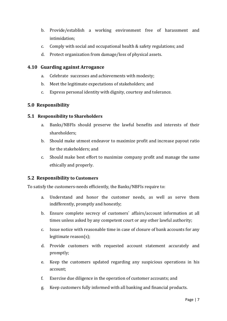- b. Provide/establish a working environment free of harassment and intimidation;
- c. Comply with social and occupational health & safety regulations; and
- d. Protect organization from damage/loss of physical assets.

#### <span id="page-11-0"></span>**4.10 Guarding against Arrogance**

- a. Celebrate successes and achievements with modesty;
- b. Meet the legitimate expectations of stakeholders; and
- c. Express personal identity with dignity, courtesy and tolerance.

#### <span id="page-11-1"></span>**5.0 Responsibility**

#### <span id="page-11-2"></span>**5.1 Responsibility to Shareholders**

- a. Banks/NBFIs should preserve the lawful benefits and interests of their shareholders;
- b. Should make utmost endeavor to maximize profit and increase payout ratio for the stakeholders; and
- c. Should make best effort to maximize company profit and manage the same ethically and properly.

#### <span id="page-11-3"></span>**5.2 Responsibility to Customers**

To satisfy the customers-needs efficiently, the Banks/NBFIs require to:

- a. Understand and honor the customer needs, as well as serve them indifferently, promptly and honestly;
- b. Ensure complete secrecy of customers` affairs/account information at all times unless asked by any competent court or any other lawful authority;
- c. Issue notice with reasonable time in case of closure of bank accounts for any legitimate reason(s);
- d. Provide customers with requested account statement accurately and promptly;
- e. Keep the customers updated regarding any suspicious operations in his account;
- f. Exercise due diligence in the operation of customer accounts; and
- g. Keep customers fully informed with all banking and financial products.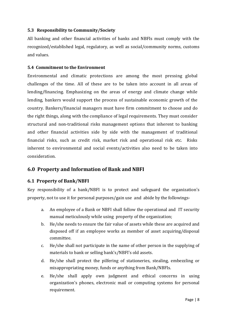#### <span id="page-12-0"></span>**5.3 Responsibility to Community/Society**

All banking and other financial activities of banks and NBFIs must comply with the recognized/established legal, regulatory, as well as social/community norms, customs and values.

#### <span id="page-12-1"></span>**5.4 Commitment to the Environment**

Environmental and climatic protections are among the most pressing global challenges of the time. All of these are to be taken into account in all areas of lending/financing. Emphasizing on the areas of energy and climate change while lending, bankers would support the process of sustainable economic growth of the country. Bankers/financial managers must have firm commitment to choose and do the right things, along with the compliance of legal requirements. They must consider structural and non-traditional risks management options that inherent to banking and other financial activities side by side with the management of traditional financial risks, such as credit risk, market risk and operational risk etc. Risks inherent to environmental and social events/activities also need to be taken into consideration.

## <span id="page-12-2"></span>**6.0 Property and Information of Bank and NBFI**

#### <span id="page-12-3"></span>**6.1 Property of Bank/NBFI**

Key responsibility of a bank/NBFI is to protect and safeguard the organization's property, not to use it for personal purposes/gain use and abide by the followings-

- a. An employee of a Bank or NBFI shall follow the operational and IT security manual meticulously while using property of the organization;
- b. He/she needs to ensure the fair value of assets while these are acquired and disposed off if an employee works as member of asset acquiring/disposal committee.
- c. He/she shall not participate in the name of other person in the supplying of materials to bank or selling bank's/NBFI's old assets.
- d. He/she shall protect the pilfering of stationeries, stealing, embezzling or misappropriating money, funds or anything from Bank/NBFIs.
- e. He/she shall apply own judgment and ethical concerns in using organization's phones, electronic mail or computing systems for personal requirement.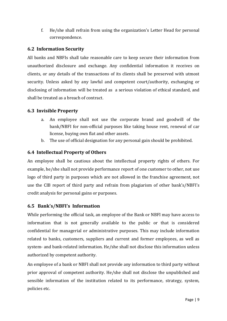f. He/she shall refrain from using the organization's Letter Head for personal correspondence.

#### <span id="page-13-0"></span>**6.2 Information Security**

All banks and NBFIs shall take reasonable care to keep secure their information from unauthorized disclosure and exchange. Any confidential information it receives on clients, or any details of the transactions of its clients shall be preserved with utmost security. Unless asked by any lawful and competent court/authority, exchanging or disclosing of information will be treated as a serious violation of ethical standard, and shall be treated as a breach of contract.

#### <span id="page-13-1"></span>**6.3 Invisible Property**

- a. An employee shall not use the corporate brand and goodwill of the bank/NBFI for non-official purposes like taking house rent, renewal of car license, buying own flat and other assets.
- b. The use of official designation for any personal gain should be prohibited.

#### <span id="page-13-2"></span>**6.4 Intellectual Property of Others**

An employee shall be cautious about the intellectual property rights of others. For example, he/she shall not provide performance report of one customer to other, not use logo of third party in purposes which are not allowed in the franchise agreement, not use the CIB report of third party and refrain from plagiarism of other bank's/NBFI's credit analysis for personal gains or purposes.

#### <span id="page-13-3"></span>**6.5 Bank's/NBFI's Information**

While performing the official task, an employee of the Bank or NBFI may have access to information that is not generally available to the public or that is considered confidential for managerial or administrative purposes. This may include information related to banks, customers, suppliers and current and former employees, as well as system- and bank-related information. He/she shall not disclose this information unless authorized by competent authority.

An employee of a bank or NBFI shall not provide any information to third party without prior approval of competent authority. He/she shall not disclose the unpublished and sensible information of the institution related to its performance, strategy, system, policies etc.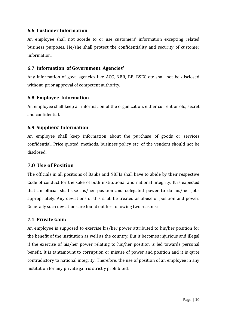#### <span id="page-14-0"></span>**6.6 Customer Information**

An employee shall not accede to or use customers' information excepting related business purposes. He/she shall protect the confidentiality and security of customer information.

#### <span id="page-14-1"></span>**6.7 Information of Government Agencies'**

Any information of govt. agencies like ACC, NBR, BB, BSEC etc shall not be disclosed without prior approval of competent authority.

#### <span id="page-14-2"></span>**6.8 Employee Information**

An employee shall keep all information of the organization, either current or old, secret and confidential.

#### <span id="page-14-3"></span>**6.9 Suppliers' Information**

An employee shall keep information about the purchase of goods or services confidential. Price quoted, methods, business policy etc. of the vendors should not be disclosed.

#### <span id="page-14-4"></span>**7.0 Use of Position**

The officials in all positions of Banks and NBFIs shall have to abide by their respective Code of conduct for the sake of both institutional and national integrity. It is expected that an official shall use his/her position and delegated power to do his/her jobs appropriately. Any deviations of this shall be treated as abuse of position and power. Generally such deviations are found out for following two reasons:

#### <span id="page-14-5"></span>**7.1 Private Gain:**

An employee is supposed to exercise his/her power attributed to his/her position for the benefit of the institution as well as the country. But it becomes injurious and illegal if the exercise of his/her power relating to his/her position is led towards personal benefit. It is tantamount to corruption or misuse of power and position and it is quite contradictory to national integrity. Therefore, the use of position of an employee in any institution for any private gain is strictly prohibited.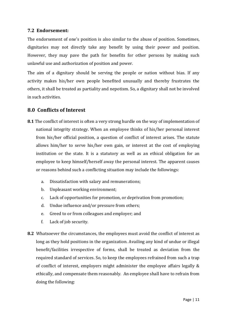#### <span id="page-15-0"></span>**7.2 Endorsement:**

The endorsement of one's position is also similar to the abuse of position. Sometimes, dignitaries may not directly take any benefit by using their power and position. However, they may pave the path for benefits for other persons by making such unlawful use and authorization of position and power.

The aim of a dignitary should be serving the people or nation without bias. If any activity makes his/her own people benefited unusually and thereby frustrates the others, it shall be treated as partiality and nepotism. So, a dignitary shall not be involved in such activities.

#### <span id="page-15-1"></span>**8.0 Conflicts of Interest**

- **8.1** The conflict of interest is often a very strong hurdle on the way of implementation of national integrity strategy. When an employee thinks of his/her personal interest from his/her official position, a question of conflict of interest arises. The statute allows him/her to serve his/her own gain, or interest at the cost of employing institution or the state. It is a statutory as well as an ethical obligation for an employee to keep himself/herself away the personal interest. The apparent causes or reasons behind such a conflicting situation may include the followings:
	- a. Dissatisfaction with salary and remunerations;
	- b. Unpleasant working environment;
	- c. Lack of opportunities for promotion, or deprivation from promotion;
	- d. Undue influence and/or pressure from others;
	- e. Greed to or from colleagues and employer; and
	- f. Lack of job security.
- **8.2** Whatsoever the circumstances, the employees must avoid the conflict of interest as long as they hold positions in the organization. Availing any kind of undue or illegal benefit/facilities irrespective of forms, shall be treated as deviation from the required standard of services. So, to keep the employees refrained from such a trap of conflict of interest, employers might administer the employee affairs legally & ethically, and compensate them reasonably. An employee shall have to refrain from doing the following: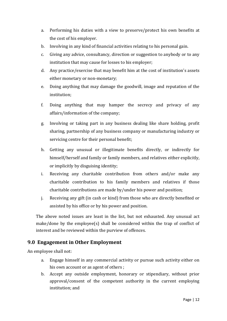- a. Performing his duties with a view to preserve/protect his own benefits at the cost of his employer.
- b. Involving in any kind of financial activities relating to his personal gain.
- c. Giving any advice, consultancy, direction or suggestion to anybody or to any institution that may cause for losses to his employer;
- d. Any practice/exercise that may benefit him at the cost of institution's assets either monetary or non-monetary;
- e. Doing anything that may damage the goodwill, image and reputation of the institution;
- f. Doing anything that may hamper the secrecy and privacy of any affairs/information of the company;
- g. Involving or taking part in any business dealing like share holding, profit sharing, partnership of any business company or manufacturing industry or servicing centre for their personal benefit;
- h. Getting any unusual or illegitimate benefits directly, or indirectly for himself/herself and family or family members, and relatives either explicitly, or implicitly by disguising identity;
- i. Receiving any charitable contribution from others and/or make any charitable contribution to his family members and relatives if those charitable contributions are made by/under his power and position;
- j. Receiving any gift (in cash or kind) from those who are directly benefited or assisted by his office or by his power and position.

The above noted issues are least in the list, but not exhausted. Any unusual act make/done by the employee(s) shall be considered within the trap of conflict of interest and be reviewed within the purview of offences.

## <span id="page-16-0"></span>**9.0 Engagement in Other Employment**

An employee shall not:

- a. Engage himself in any commercial activity or pursue such activity either on his own account or as agent of others ;
- b. Accept any outside employment, honorary or stipendiary, without prior approval/consent of the competent authority in the current employing institution; and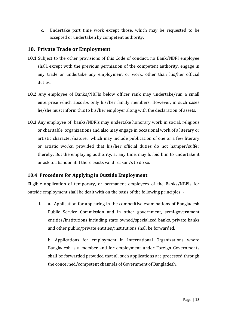c. Undertake part time work except those, which may be requested to be accepted or undertaken by competent authority.

#### <span id="page-17-0"></span>**10. Private Trade or Employment**

- **10.1** Subject to the other provisions of this Code of conduct, no Bank/NBFI employee shall, except with the previous permission of the competent authority, engage in any trade or undertake any employment or work, other than his/her official duties.
- **10.2** Any employee of Banks/NBFIs below officer rank may undertake/run a small enterprise which absorbs only his/her family members. However, in such cases he/she must inform this to his/her employer along with the declaration of assets.
- **10.3** Any employee of banks/NBFIs may undertake honorary work in social, religious or charitable organizations and also may engage in occasional work of a literary or artistic character/nature, which may include publication of one or a few literary or artistic works, provided that his/her official duties do not hamper/suffer thereby. But the employing authority, at any time, may forbid him to undertake it or ask to abandon it if there exists valid reason/s to do so.

#### <span id="page-17-1"></span>**10.4 Procedure for Applying in Outside Employment:**

Eligible application of temporary, or permanent employees of the Banks/NBFIs for outside employment shall be dealt with on the basis of the following principles :-

i. a. Application for appearing in the competitive examinations of Bangladesh Public Service Commission and in other government, semi-government entities/institutions including state owned/specialized banks, private banks and other public/private entities/institutions shall be forwarded.

b. Applications for employment in International Organizations where Bangladesh is a member and for employment under Foreign Governments shall be forwarded provided that all such applications are processed through the concerned/competent channels of Government of Bangladesh.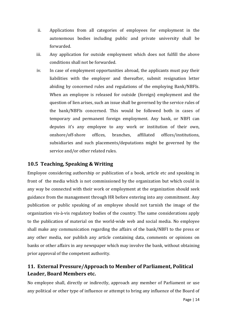- ii. Applications from all categories of employees for employment in the autonomous bodies including public and private university shall be forwarded.
- iii. Any application for outside employment which does not fulfill the above conditions shall not be forwarded.
- iv. In case of employment opportunities abroad, the applicants must pay their liabilities with the employer and thereafter, submit resignation letter abiding by concerned rules and regulations of the employing Bank/NBFIs. When an employee is released for outside (foreign) employment and the question of lien arises, such an issue shall be governed by the service rules of the bank/NBFIs concerned. This would be followed both in cases of temporary and permanent foreign employment. Any bank, or NBFI can deputes it's any employee to any work or institution of their own, onshore/off-shore offices, branches, affiliated offices/institutions, subsidiaries and such placements/deputations might be governed by the service and/or other related rules.

## <span id="page-18-0"></span>**10.5 Teaching, Speaking & Writing**

Employee considering authorship or publication of a book, article etc and speaking in front of the media which is not commissioned by the organization but which could in any way be connected with their work or employment at the organization should seek guidance from the management through HR before entering into any commitment. Any publication or public speaking of an employee should not tarnish the image of the organization vis-à-vis regulatory bodies of the country. The same considerations apply to the publication of material on the world-wide web and social media. No employee shall make any communication regarding the affairs of the bank/NBFI to the press or any other media, nor publish any article containing data, comments or opinions on banks or other affairs in any newspaper which may involve the bank, without obtaining prior approval of the competent authority.

## <span id="page-18-1"></span>**11. External Pressure/Approach to Member of Parliament, Political Leader, Board Members etc.**

No employee shall, directly or indirectly, approach any member of Parliament or use any political or other type of influence or attempt to bring any influence of the Board of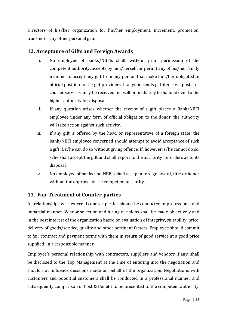Directors of his/her organization for his/her employment, increment, promotion, transfer or any other personal gain.

## <span id="page-19-0"></span>**12. Acceptance of Gifts and Foreign Awards**

- i. No employee of banks/NBFIs shall, without prior permission of the competent authority, accepts by him/herself, or permit any of his/her family member to accept any gift from any person that make him/her obligated in official position to the gift providers. If anyone sends gift items via postal or courier services, may be received but will immediately be handed over to the higher authority for disposal.
- ii. If any question arises whether the receipt of a gift places a Bank/NBFI employee under any form of official obligation to the donor, the authority will take action against such activity.
- iii. If any gift is offered by the head or representative of a foreign state, the bank/NBFI employee concerned should attempt to avoid acceptance of such a gift if, s/he can do so without giving offence. If, however, s/he cannot do so, s/he shall accept the gift and shall report to the authority for orders as to its disposal.
- iv. No employee of banks and NBFIs shall accept a foreign award, title or honor without the approval of the competent authority.

## <span id="page-19-1"></span>**13. Fair Treatment of Counter-parties**

All relationships with external counter-parties should be conducted in professional and impartial manner. Vendor selection and hiring decisions shall be made objectively and in the best interest of the organization based on evaluation of integrity, suitability, price, delivery of goods/service, quality and other pertinent factors. Employee should commit to fair contract and payment terms with them in return of good service at a good price supplied; in a responsible manner.

Employee's personal relationship with contractors, suppliers and vendors if any, shall be disclosed to the Top Management at the time of entering into the negotiation and should not influence decisions made on behalf of the organization. Negotiations with customers and potential customers shall be conducted in a professional manner and subsequently comparison of Cost & Benefit to be presented to the competent authority.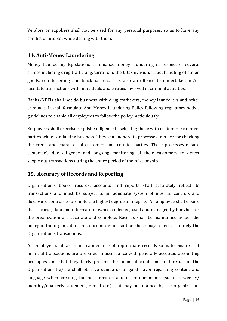Vendors or suppliers shall not be used for any personal purposes, so as to have any conflict of interest while dealing with them.

## <span id="page-20-0"></span>**14. Anti-Money Laundering**

Money Laundering legislations criminalize money laundering in respect of several crimes including drug trafficking, terrorism, theft, tax evasion, fraud, handling of stolen goods, counterfeiting and blackmail etc. It is also an offence to undertake and/or facilitate transactions with individuals and entities involved in criminal activities.

Banks/NBFIs shall not do business with drug traffickers, money launderers and other criminals. It shall formulate Anti Money Laundering Policy following regulatory body's guidelines to enable all employees to follow the policy meticulously.

Employees shall exercise requisite diligence in selecting those with customers/counterparties while conducting business. They shall adhere to processes in place for checking the credit and character of customers and counter parties. These processes ensure customer's due diligence and ongoing monitoring of their customers to detect suspicious transactions during the entire period of the relationship.

## <span id="page-20-1"></span>**15. Accuracy of Records and Reporting**

Organization's books, records, accounts and reports shall accurately reflect its transactions and must be subject to an adequate system of internal controls and disclosure controls to promote the highest degree of integrity. An employee shall ensure that records, data and information owned, collected, used and managed by him/her for the organization are accurate and complete. Records shall be maintained as per the policy of the organization in sufficient details so that these may reflect accurately the Organization's transactions.

An employee shall assist in maintenance of appropriate records so as to ensure that financial transactions are prepared in accordance with generally accepted accounting principles and that they fairly present the financial conditions and result of the Organization. He/she shall observe standards of good flavor regarding content and language when creating business records and other documents (such as weekly/ monthly/quarterly statement, e-mail etc.) that may be retained by the organization.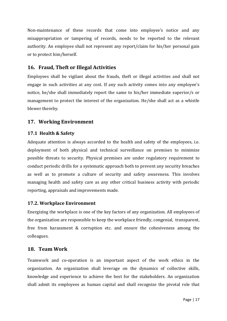Non-maintenance of these records that come into employee's notice and any misappropriation or tampering of records, needs to be reported to the relevant authority. An employee shall not represent any report/claim for his/her personal gain or to protect him/herself.

## <span id="page-21-0"></span>**16. Fraud, Theft or Illegal Activities**

Employees shall be vigilant about the frauds, theft or illegal activities and shall not engage in such activities at any cost. If any such activity comes into any employee's notice, he/she shall immediately report the same to his/her immediate superior/s or management to protect the interest of the organization. He/she shall act as a whistle blower thereby.

## <span id="page-21-1"></span>**17. Working Environment**

#### <span id="page-21-2"></span>**17.1 Health & Safety**

Adequate attention is always accorded to the health and safety of the employees, i.e. deployment of both physical and technical surveillance on premises to minimize possible threats to security. Physical premises are under regulatory requirement to conduct periodic drills for a systematic approach both to prevent any security breaches as well as to promote a culture of security and safety awareness. This involves managing health and safety care as any other critical business activity with periodic reporting, appraisals and improvements made.

#### <span id="page-21-3"></span>**17.2. Workplace Environment**

Energizing the workplace is one of the key factors of any organization. All employees of the organization are responsible to keep the workplace friendly, congenial, transparent, free from harassment & corruption etc. and ensure the cohesiveness among the colleagues.

#### <span id="page-21-4"></span>**18. Team Work**

Teamwork and co-operation is an important aspect of the work ethics in the organization. An organization shall leverage on the dynamics of collective skills, knowledge and experience to achieve the best for the stakeholders. An organization shall admit its employees as human capital and shall recognize the pivotal role that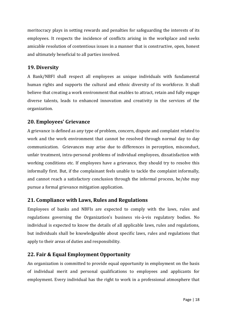meritocracy plays in setting rewards and penalties for safeguarding the interests of its employees. It respects the incidence of conflicts arising in the workplace and seeks amicable resolution of contentious issues in a manner that is constructive, open, honest and ultimately beneficial to all parties involved.

## <span id="page-22-0"></span>**19. Diversity**

A Bank/NBFI shall respect all employees as unique individuals with fundamental human rights and supports the cultural and ethnic diversity of its workforce. It shall believe that creating a work environment that enables to attract, retain and fully engage diverse talents, leads to enhanced innovation and creativity in the services of the organization.

## <span id="page-22-1"></span>**20. Employees' Grievance**

A grievance is defined as any type of problem, concern, dispute and complaint related to work and the work environment that cannot be resolved through normal day to day communication. Grievances may arise due to differences in perception, misconduct, unfair treatment, intra-personal problems of individual employees, dissatisfaction with working conditions etc. If employees have a grievance, they should try to resolve this informally first. But, if the complainant feels unable to tackle the complaint informally, and cannot reach a satisfactory conclusion through the informal process, he/she may pursue a formal grievance mitigation application.

## <span id="page-22-2"></span>**21. Compliance with Laws, Rules and Regulations**

Employees of banks and NBFIs are expected to comply with the laws, rules and regulations governing the Organization's business vis-à-vis regulatory bodies. No individual is expected to know the details of all applicable laws, rules and regulations, but individuals shall be knowledgeable about specific laws, rules and regulations that apply to their areas of duties and responsibility.

## <span id="page-22-3"></span>**22. Fair & Equal Employment Opportunity**

An organization is committed to provide equal opportunity in employment on the basis of individual merit and personal qualifications to employees and applicants for employment. Every individual has the right to work in a professional atmosphere that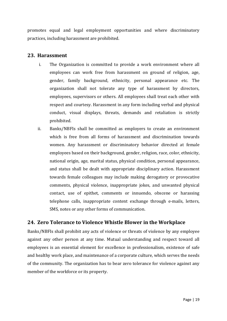promotes equal and legal employment opportunities and where discriminatory practices, including harassment are prohibited.

#### <span id="page-23-0"></span>**23. Harassment**

- i. The Organization is committed to provide a work environment where all employees can work free from harassment on ground of religion, age, gender, family background, ethnicity, personal appearance etc. The organization shall not tolerate any type of harassment by directors, employees, supervisors or others. All employees shall treat each other with respect and courtesy. Harassment in any form including verbal and physical conduct, visual displays, threats, demands and retaliation is strictly prohibited.
- ii. Banks/NBFIs shall be committed as employers to create an environment which is free from all forms of harassment and discrimination towards women. Any harassment or discriminatory behavior directed at female employees based on their background, gender, religion, race, color, ethnicity, national origin, age, marital status, physical condition, personal appearance, and status shall be dealt with appropriate disciplinary action. Harassment towards female colleagues may include making derogatory or provocative comments, physical violence, inappropriate jokes, and unwanted physical contact, use of epithet, comments or innuendo, obscene or harassing telephone calls, inappropriate content exchange through e-mails, letters, SMS, notes or any other forms of communication.

## <span id="page-23-1"></span>**24. Zero Tolerance to Violence Whistle Blower in the Workplace**

Banks/NBFIs shall prohibit any acts of violence or threats of violence by any employee against any other person at any time. Mutual understanding and respect toward all employees is an essential element for excellence in professionalism, existence of safe and healthy work place, and maintenance of a corporate culture, which serves the needs of the community. The organization has to bear zero tolerance for violence against any member of the workforce or its property.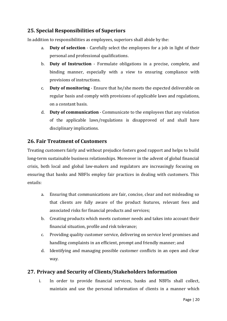## <span id="page-24-0"></span>**25. Special Responsibilities of Superiors**

In addition to responsibilities as employees, superiors shall abide by the:

- a. **Duty of selection** Carefully select the employees for a job in light of their personal and professional qualifications.
- b. **Duty of Instruction** Formulate obligations in a precise, complete, and binding manner, especially with a view to ensuring compliance with provisions of instructions.
- c. **Duty of monitoring** Ensure that he/she meets the expected deliverable on regular basis and comply with provisions of applicable laws and regulations, on a constant basis.
- d. **Duty of communication** Communicate to the employees that any violation of the applicable laws/regulations is disapproved of and shall have disciplinary implications.

#### <span id="page-24-1"></span>**26. Fair Treatment of Customers**

Treating customers fairly and without prejudice fosters good rapport and helps to build long-term sustainable business relationships. Moreover in the advent of global financial crisis, both local and global law-makers and regulators are increasingly focusing on ensuring that banks and NBFIs employ fair practices in dealing with customers. This entails:

- a. Ensuring that communications are fair, concise, clear and not misleading so that clients are fully aware of the product features, relevant fees and associated risks for financial products and services;
- b. Creating products which meets customer needs and takes into account their financial situation, profile and risk tolerance;
- c. Providing quality customer service, delivering on service level promises and handling complaints in an efficient, prompt and friendly manner; and
- d. Identifying and managing possible customer conflicts in an open and clear way.

## <span id="page-24-2"></span>**27. Privacy and Security of Clients/Stakeholders Information**

i. In order to provide financial services, banks and NBFIs shall collect, maintain and use the personal information of clients in a manner which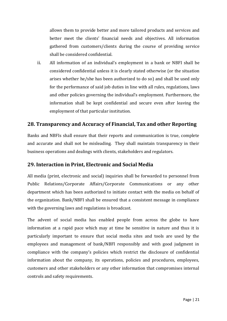allows them to provide better and more tailored products and services and better meet the clients' financial needs and objectives. All information gathered from customers/clients during the course of providing service shall be considered confidential.

ii. All information of an individual's employment in a bank or NBFI shall be considered confidential unless it is clearly stated otherwise (or the situation arises whether he/she has been authorized to do so) and shall be used only for the performance of said job duties in line with all rules, regulations, laws and other policies governing the individual's employment. Furthermore, the information shall be kept confidential and secure even after leaving the employment of that particular institution.

## <span id="page-25-0"></span>**28. Transparency and Accuracy of Financial, Tax and other Reporting**

Banks and NBFIs shall ensure that their reports and communication is true, complete and accurate and shall not be misleading. They shall maintain transparency in their business operations and dealings with clients, stakeholders and regulators.

#### <span id="page-25-1"></span>**29. Interaction in Print, Electronic and Social Media**

All media (print, electronic and social) inquiries shall be forwarded to personnel from Public Relations/Corporate Affairs/Corporate Communications or any other department which has been authorized to initiate contact with the media on behalf of the organization. Bank/NBFI shall be ensured that a consistent message in compliance with the governing laws and regulations is broadcast.

The advent of social media has enabled people from across the globe to have information at a rapid pace which may at time be sensitive in nature and thus it is particularly important to ensure that social media sites and tools are used by the employees and management of bank/NBFI responsibly and with good judgment in compliance with the company's policies which restrict the disclosure of confidential information about the company, its operations, policies and procedures, employees, customers and other stakeholders or any other information that compromises internal controls and safety requirements.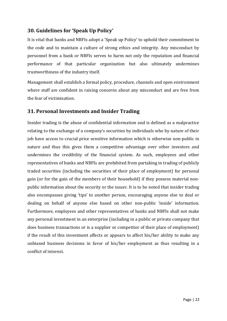## <span id="page-26-0"></span>**30. Guidelines for 'Speak Up Policy'**

It is vital that banks and NBFIs adopt a 'Speak up Policy' to uphold their commitment to the code and to maintain a culture of strong ethics and integrity. Any misconduct by personnel from a bank or NBFIs serves to harm not only the reputation and financial performance of that particular organization but also ultimately undermines trustworthiness of the industry itself.

Management shall establish a formal policy, procedure, channels and open environment where staff are confident in raising concerns about any misconduct and are free from the fear of victimisation.

## <span id="page-26-1"></span>**31. Personal Investments and Insider Trading**

Insider trading is the abuse of confidential information and is defined as a malpractice relating to the exchange of a company's securities by individuals who by nature of their job have access to crucial price sensitive information which is otherwise non-public in nature and thus this gives them a competitive advantage over other investors and undermines the credibility of the financial system. As such, employees and other representatives of banks and NBFIs are prohibited from partaking in trading of publicly traded securities (including the securities of their place of employment) for personal gain (or for the gain of the members of their household) if they possess material nonpublic information about the security or the issuer. It is to be noted that insider trading also encompasses giving 'tips' to another person, encouraging anyone else to deal or dealing on behalf of anyone else based on other non-public 'inside' information. Furthermore, employees and other representatives of banks and NBFIs shall not make any personal investment in an enterprise (including in a public or private company that does business transactions or is a supplier or competitor of their place of employment) if the result of this investment affects or appears to affect his/her ability to make any unbiased business decisions in favor of his/her employment as thus resulting in a conflict of interest.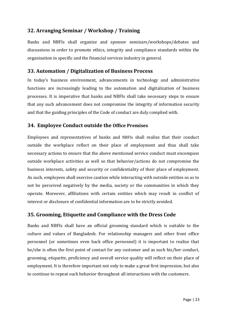## <span id="page-27-0"></span>**32. Arranging Seminar / Workshop / Training**

Banks and NBFIs shall organize and sponsor seminars/workshops/debates and discussions in order to promote ethics, integrity and compliance standards within the organization in specific and the financial services industry in general.

## <span id="page-27-1"></span>**33. Automation / Digitalization of Business Process**

In today's business environment, advancements in technology and administrative functions are increasingly leading to the automation and digitalization of business processes. It is imperative that banks and NBFIs shall take necessary steps to ensure that any such advancement does not compromise the integrity of information security and that the guiding principles of the Code of conduct are duly complied with.

#### <span id="page-27-2"></span>**34. Employee Conduct outside the Office Premises**

Employees and representatives of banks and NBFIs shall realize that their conduct outside the workplace reflect on their place of employment and thus shall take necessary actions to ensure that the above mentioned service conduct must encompass outside workplace activities as well so that behavior/actions do not compromise the business interests, safety and security or confidentiality of their place of employment. As such, employees shall exercise caution while interacting with outside entities so as to not be perceived negatively by the media, society or the communities in which they operate. Moreover, affiliations with certain entities which may result in conflict of interest or disclosure of confidential information are to be strictly avoided.

#### <span id="page-27-3"></span>**35. Grooming, Etiquette and Compliance with the Dress Code**

Banks and NBFIs shall have an official grooming standard which is suitable to the culture and values of Bangladesh. For relationship managers and other front office personnel (or sometimes even back office personnel) it is important to realize that he/she is often the first point of contact for any customer and as such his/her conduct, grooming, etiquette, proficiency and overall service quality will reflect on their place of employment. It is therefore important not only to make a great first impression, but also to continue to repeat such behavior throughout all interactions with the customers.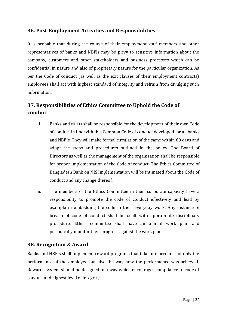## <span id="page-28-0"></span>**36. Post-Employment Activities and Responsibilities**

It is probable that during the course of their employment staff members and other representatives of banks and NBFIs may be privy to sensitive information about the company, customers and other stakeholders and business processes which can be confidential in nature and also of proprietary nature for the particular organization. As per the Code of conduct (as well as the exit clauses of their employment contracts) employees shall act with highest standard of integrity and refrain from divulging such information.

# <span id="page-28-1"></span>**37. Responsibilities of Ethics Committee to Uphold the Code of conduct**

- i. Banks and NBFIs shall be responsible for the development of their own Code of conduct in line with this Common Code of conduct developed for all banks and NBFIs. They will make formal circulation of the same within 60 days and adopt the steps and procedures outlined in the policy. The Board of Directors as well as the management of the organization shall be responsible for proper implementation of the Code of conduct. The Ethics Committee of Bangladesh Bank on NIS Implementation will be intimated about the Code of conduct and any change thereof.
- ii. The members of the Ethics Committee in their corporate capacity have a responsibility to promote the code of conduct effectively and lead by example in embedding the code in their everyday work. Any instance of breach of code of conduct shall be dealt with appropriate disciplinary procedure. Ethics committee shall have an annual work plan and periodically monitor their progress against the work plan.

#### <span id="page-28-2"></span>**38. Recognition & Award**

Banks and NBFIs shall implement reward programs that take into account not only the performance of the employee but also the way how the performance was achieved. Rewards system should be designed in a way which encourages compliance to code of conduct and highest level of integrity.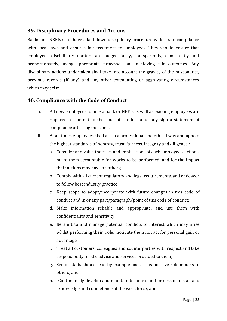## <span id="page-29-0"></span>**39. Disciplinary Procedures and Actions**

Banks and NBFIs shall have a laid down disciplinary procedure which is in compliance with local laws and ensures fair treatment to employees. They should ensure that employees disciplinary matters are judged fairly, transparently, consistently and proportionately, using appropriate processes and achieving fair outcomes. Any disciplinary actions undertaken shall take into account the gravity of the misconduct, previous records (if any) and any other extenuating or aggravating circumstances which may exist.

#### <span id="page-29-1"></span>**40. Compliance with the Code of Conduct**

- i. All new employees joining a bank or NBFIs as well as existing employees are required to commit to the code of conduct and duly sign a statement of compliance attesting the same.
- ii. At all times employees shall act in a professional and ethical way and uphold the highest standards of honesty, trust, fairness, integrity and diligence :
	- a. Consider and value the risks and implications of each employee's actions, make them accountable for works to be performed, and for the impact their actions may have on others;
	- b. Comply with all current regulatory and legal requirements, and endeavor to follow best industry practice;
	- c. Keep scope to adopt/incorporate with future changes in this code of conduct and in or any part/paragraph/point of this code of conduct;
	- d. Make information reliable and appropriate, and use them with confidentiality and sensitivity;
	- e. Be alert to and manage potential conflicts of interest which may arise whilst performing their role, motivate them not act for personal gain or advantage;
	- f. Treat all customers, colleagues and counterparties with respect and take responsibility for the advice and services provided to them;
	- g. Senior staffs should lead by example and act as positive role models to others; and
	- h. Continuously develop and maintain technical and professional skill and knowledge and competence of the work force; and